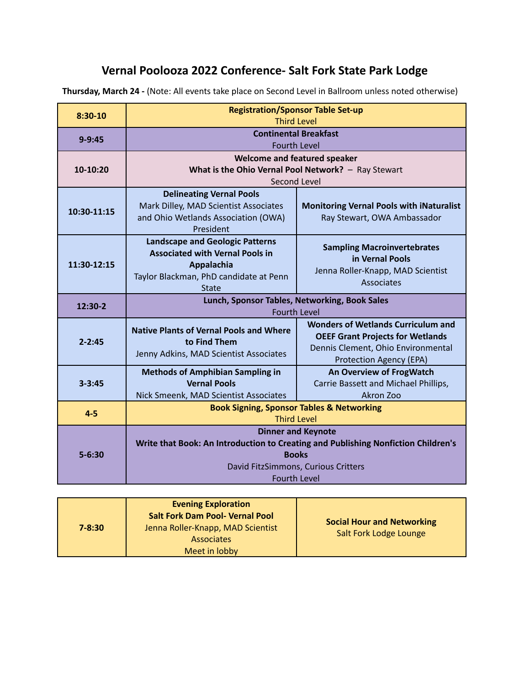# **Vernal Poolooza 2022 Conference- Salt Fork State Park Lodge**

**Thursday, March 24 -** (Note: All events take place on Second Level in Ballroom unless noted otherwise)

| $7 - 8:30$ | <b>Evening Exploration</b><br><b>Salt Fork Dam Pool- Vernal Pool</b><br>Jenna Roller-Knapp, MAD Scientist<br><b>Associates</b><br>Meet in lobby | <b>Social Hour and Networking</b><br>Salt Fork Lodge Lounge |
|------------|-------------------------------------------------------------------------------------------------------------------------------------------------|-------------------------------------------------------------|
|------------|-------------------------------------------------------------------------------------------------------------------------------------------------|-------------------------------------------------------------|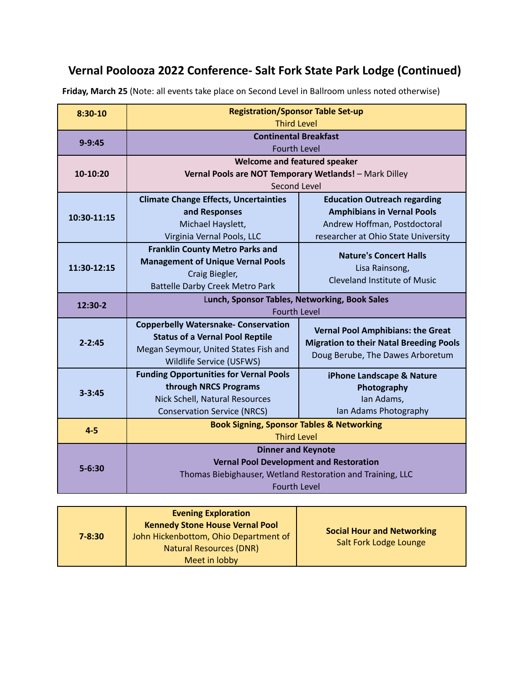# **Vernal Poolooza 2022 Conference- Salt Fork State Park Lodge (Continued)**

| $8:30-10$   | <b>Registration/Sponsor Table Set-up</b>                                   |                                                |  |
|-------------|----------------------------------------------------------------------------|------------------------------------------------|--|
|             | <b>Third Level</b>                                                         |                                                |  |
| $9 - 9:45$  | <b>Continental Breakfast</b>                                               |                                                |  |
|             | <b>Fourth Level</b>                                                        |                                                |  |
| 10-10:20    | <b>Welcome and featured speaker</b>                                        |                                                |  |
|             | Vernal Pools are NOT Temporary Wetlands! - Mark Dilley<br>Second Level     |                                                |  |
|             |                                                                            |                                                |  |
| 10:30-11:15 | <b>Climate Change Effects, Uncertainties</b>                               | <b>Education Outreach regarding</b>            |  |
|             | and Responses                                                              | <b>Amphibians in Vernal Pools</b>              |  |
|             | Michael Hayslett,                                                          | Andrew Hoffman, Postdoctoral                   |  |
|             | Virginia Vernal Pools, LLC                                                 | researcher at Ohio State University            |  |
| 11:30-12:15 | <b>Franklin County Metro Parks and</b>                                     | <b>Nature's Concert Halls</b>                  |  |
|             | <b>Management of Unique Vernal Pools</b>                                   | Lisa Rainsong,                                 |  |
|             | Craig Biegler,                                                             | <b>Cleveland Institute of Music</b>            |  |
|             | <b>Battelle Darby Creek Metro Park</b>                                     |                                                |  |
| 12:30-2     | Lunch, Sponsor Tables, Networking, Book Sales<br><b>Fourth Level</b>       |                                                |  |
|             | <b>Copperbelly Watersnake- Conservation</b>                                |                                                |  |
|             | <b>Status of a Vernal Pool Reptile</b>                                     | <b>Vernal Pool Amphibians: the Great</b>       |  |
| $2 - 2:45$  | Megan Seymour, United States Fish and                                      | <b>Migration to their Natal Breeding Pools</b> |  |
|             | Wildlife Service (USFWS)                                                   | Doug Berube, The Dawes Arboretum               |  |
| $3 - 3:45$  | <b>Funding Opportunities for Vernal Pools</b>                              | iPhone Landscape & Nature                      |  |
|             | through NRCS Programs                                                      | Photography                                    |  |
|             | Nick Schell, Natural Resources                                             | Ian Adams,                                     |  |
|             | <b>Conservation Service (NRCS)</b>                                         | Ian Adams Photography                          |  |
|             | <b>Book Signing, Sponsor Tables &amp; Networking</b><br><b>Third Level</b> |                                                |  |
| $4 - 5$     |                                                                            |                                                |  |
| $5 - 6:30$  | <b>Dinner and Keynote</b>                                                  |                                                |  |
|             | <b>Vernal Pool Development and Restoration</b>                             |                                                |  |
|             | Thomas Biebighauser, Wetland Restoration and Training, LLC                 |                                                |  |
|             | <b>Fourth Level</b>                                                        |                                                |  |

**Friday, March 25** (Note: all events take place on Second Level in Ballroom unless noted otherwise)

| $7 - 8:30$ | <b>Evening Exploration</b><br><b>Kennedy Stone House Vernal Pool</b><br>John Hickenbottom, Ohio Department of<br><b>Natural Resources (DNR)</b><br>Meet in lobby | <b>Social Hour and Networking</b><br>Salt Fork Lodge Lounge |
|------------|------------------------------------------------------------------------------------------------------------------------------------------------------------------|-------------------------------------------------------------|
|            |                                                                                                                                                                  |                                                             |